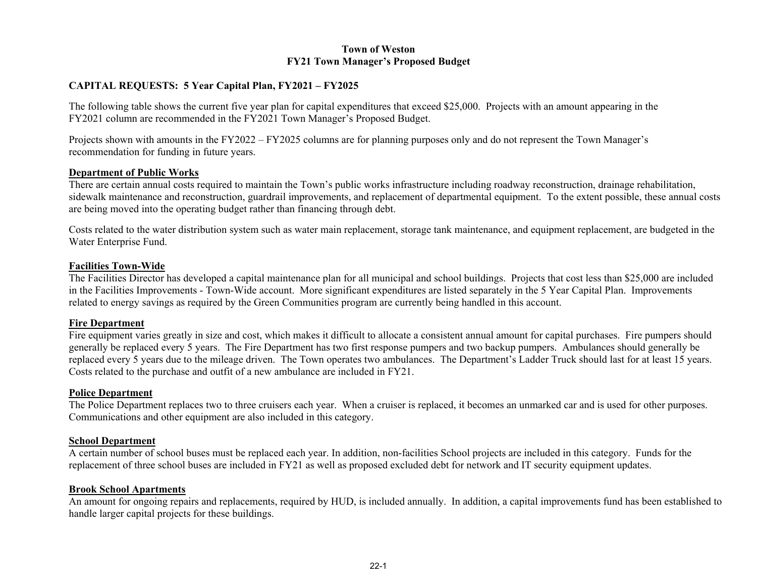## **Town of Weston FY21 Town Manager's Proposed Budget**

# **CAPITAL REQUESTS: 5 Year Capital Plan, FY2021 – FY2025**

The following table shows the current five year plan for capital expenditures that exceed \$25,000. Projects with an amount appearing in the FY2021 column are recommended in the FY2021 Town Manager's Proposed Budget.

Projects shown with amounts in the FY2022 – FY2025 columns are for planning purposes only and do not represent the Town Manager's recommendation for funding in future years.

### **Department of Public Works**

There are certain annual costs required to maintain the Town's public works infrastructure including roadway reconstruction, drainage rehabilitation, sidewalk maintenance and reconstruction, guardrail improvements, and replacement of departmental equipment. To the extent possible, these annual costs are being moved into the operating budget rather than financing through debt.

Costs related to the water distribution system such as water main replacement, storage tank maintenance, and equipment replacement, are budgeted in the Water Enterprise Fund.

## **Facilities Town-Wide**

The Facilities Director has developed a capital maintenance plan for all municipal and school buildings. Projects that cost less than \$25,000 are included in the Facilities Improvements - Town-Wide account. More significant expenditures are listed separately in the 5 Year Capital Plan. Improvements related to energy savings as required by the Green Communities program are currently being handled in this account.

### **Fire Department**

Fire equipment varies greatly in size and cost, which makes it difficult to allocate a consistent annual amount for capital purchases. Fire pumpers should generally be replaced every 5 years. The Fire Department has two first response pumpers and two backup pumpers. Ambulances should generally be replaced every 5 years due to the mileage driven. The Town operates two ambulances. The Department's Ladder Truck should last for at least 15 years. Costs related to the purchase and outfit of a new ambulance are included in FY21.

## **Police Department**

The Police Department replaces two to three cruisers each year. When a cruiser is replaced, it becomes an unmarked car and is used for other purposes. Communications and other equipment are also included in this category.

#### **School Department**

A certain number of school buses must be replaced each year. In addition, non-facilities School projects are included in this category. Funds for the replacement of three school buses are included in FY21 as well as proposed excluded debt for network and IT security equipment updates.

## **Brook School Apartments**

An amount for ongoing repairs and replacements, required by HUD, is included annually. In addition, a capital improvements fund has been established to handle larger capital projects for these buildings.